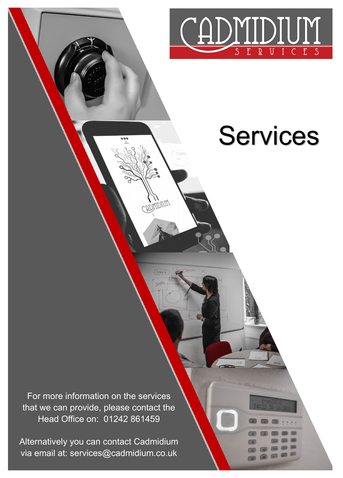

# Services

For more information on the services that we can provide, please contact the Head Office on: 01242 861459

**DAIDINY** 

Alternatively you can contact Cadmidium via email at: services@cadmidium.co.uk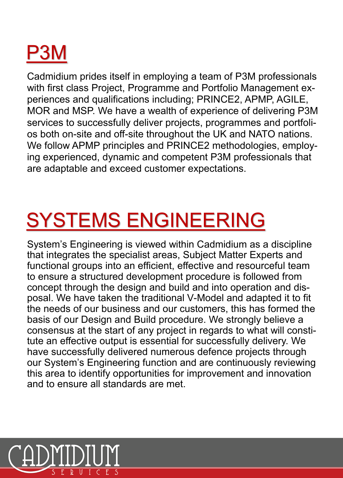

Cadmidium prides itself in employing a team of P3M professionals with first class Project, Programme and Portfolio Management experiences and qualifications including; PRINCE2, APMP, AGILE, MOR and MSP. We have a wealth of experience of delivering P3M services to successfully deliver projects, programmes and portfolios both on-site and off-site throughout the UK and NATO nations. We follow APMP principles and PRINCE2 methodologies, employing experienced, dynamic and competent P3M professionals that are adaptable and exceed customer expectations.

### SYSTEMS ENGINEERING

System's Engineering is viewed within Cadmidium as a discipline that integrates the specialist areas, Subject Matter Experts and functional groups into an efficient, effective and resourceful team to ensure a structured development procedure is followed from concept through the design and build and into operation and disposal. We have taken the traditional V-Model and adapted it to fit the needs of our business and our customers, this has formed the basis of our Design and Build procedure. We strongly believe a consensus at the start of any project in regards to what will constitute an effective output is essential for successfully delivery. We have successfully delivered numerous defence projects through our System's Engineering function and are continuously reviewing this area to identify opportunities for improvement and innovation and to ensure all standards are met.

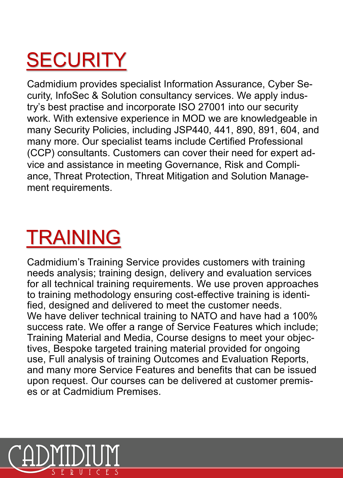## **SECURITY**

Cadmidium provides specialist Information Assurance, Cyber Security, InfoSec & Solution consultancy services. We apply industry's best practise and incorporate ISO 27001 into our security work. With extensive experience in MOD we are knowledgeable in many Security Policies, including JSP440, 441, 890, 891, 604, and many more. Our specialist teams include Certified Professional (CCP) consultants. Customers can cover their need for expert advice and assistance in meeting Governance, Risk and Compliance, Threat Protection, Threat Mitigation and Solution Management requirements.

### TRAINING

Cadmidium's Training Service provides customers with training needs analysis; training design, delivery and evaluation services for all technical training requirements. We use proven approaches to training methodology ensuring cost-effective training is identified, designed and delivered to meet the customer needs. We have deliver technical training to NATO and have had a 100% success rate. We offer a range of Service Features which include; Training Material and Media, Course designs to meet your objectives, Bespoke targeted training material provided for ongoing use, Full analysis of training Outcomes and Evaluation Reports, and many more Service Features and benefits that can be issued upon request. Our courses can be delivered at customer premises or at Cadmidium Premises.